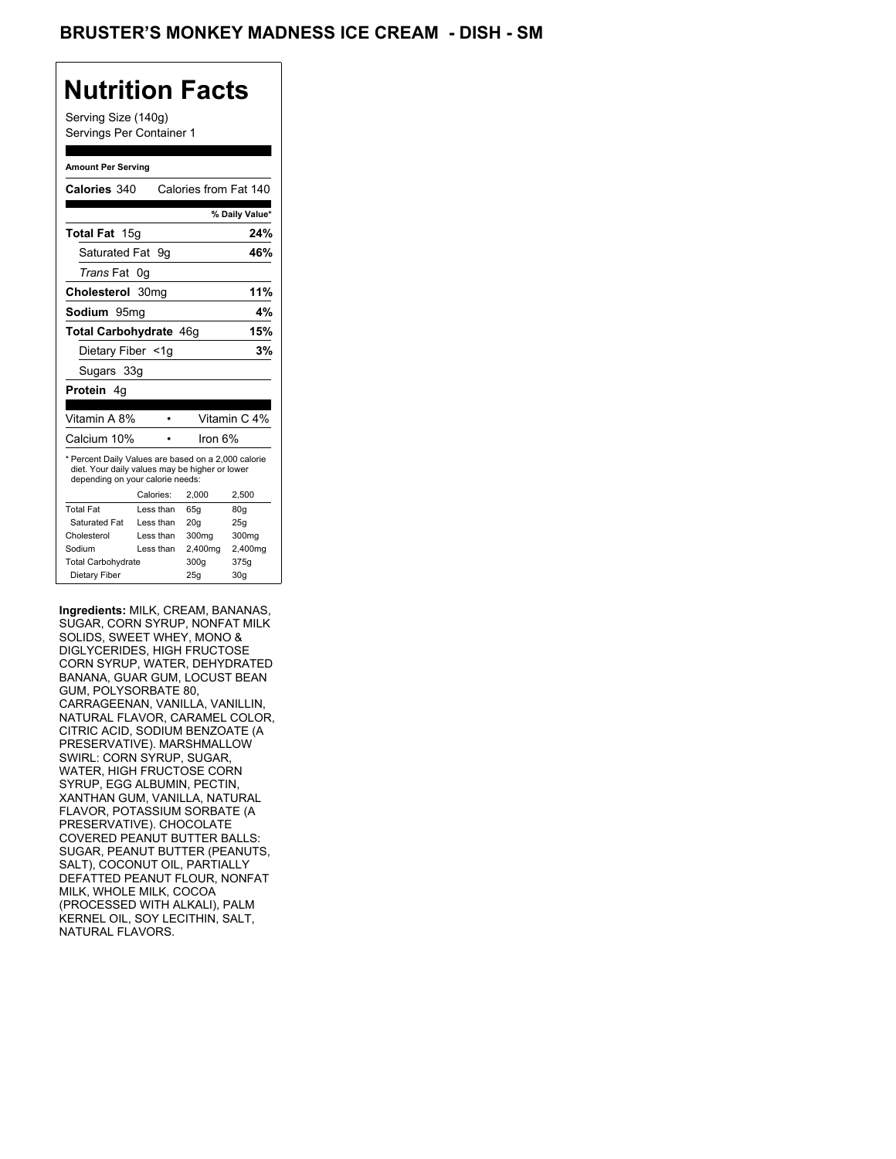## BRUSTER'S MONKEY MADNESS ICE CREAM - DISH - SM

## **Nutrition Facts**

Serving Size (140g) Servings Per Container 1

#### **Amount Per Serving**

| Calories 340                                                                                                                              |           | Calories from Fat 140 |                |
|-------------------------------------------------------------------------------------------------------------------------------------------|-----------|-----------------------|----------------|
|                                                                                                                                           |           |                       | % Daily Value* |
| Total Fat 15g                                                                                                                             |           |                       | 24%            |
| Saturated Fat 9q                                                                                                                          |           |                       | 46%            |
| Trans Fat 0g                                                                                                                              |           |                       |                |
| Cholesterol 30mg                                                                                                                          |           |                       | 11%            |
| Sodium 95mg                                                                                                                               |           |                       | 4%             |
| Total Carbohydrate 46g                                                                                                                    |           |                       | 15%            |
| Dietary Fiber <1q                                                                                                                         |           |                       | 3%             |
| Sugars 33g                                                                                                                                |           |                       |                |
| <b>Protein</b> 4a                                                                                                                         |           |                       |                |
| Vitamin A 8%                                                                                                                              |           |                       | Vitamin C 4%   |
| Calcium 10%                                                                                                                               |           | lron 6%               |                |
| * Percent Daily Values are based on a 2,000 calorie<br>diet. Your daily values may be higher or lower<br>depending on your calorie needs: |           |                       |                |
|                                                                                                                                           | Calories: | 2.000                 | 2,500          |
| <b>Total Fat</b>                                                                                                                          | Less than | 65q                   | 80q            |
| Saturated Fat                                                                                                                             | Less than | 20q                   | 25q            |
| Cholesterol                                                                                                                               | Less than | 300 <sub>mq</sub>     | 300mg          |
| Sodium                                                                                                                                    | Less than | 2,400mg               | 2,400mg        |
|                                                                                                                                           |           |                       |                |
| <b>Total Carbohydrate</b>                                                                                                                 |           | 300q                  | 375g           |

**Ingredients:** MILK, CREAM, BANANAS, SUGAR, CORN SYRUP, NONFAT MILK SOLIDS, SWEET WHEY, MONO & DIGLYCERIDES, HIGH FRUCTOSE CORN SYRUP, WATER, DEHYDRATED BANANA, GUAR GUM, LOCUST BEAN GUM, POLYSORBATE 80, CARRAGEENAN, VANILLA, VANILLIN, NATURAL FLAVOR, CARAMEL COLOR, CITRIC ACID, SODIUM BENZOATE (A PRESERVATIVE). MARSHMALLOW SWIRL: CORN SYRUP, SUGAR, WATER, HIGH FRUCTOSE CORN SYRUP, EGG ALBUMIN, PECTIN, XANTHAN GUM, VANILLA, NATURAL FLAVOR, POTASSIUM SORBATE (A PRESERVATIVE). CHOCOLATE COVERED PEANUT BUTTER BALLS: SUGAR, PEANUT BUTTER (PEANUTS, SALT), COCONUT OIL, PARTIALLY DEFATTED PEANUT FLOUR, NONFAT MILK, WHOLE MILK, COCOA (PROCESSED WITH ALKALI), PALM KERNEL OIL, SOY LECITHIN, SALT, NATURAL FLAVORS.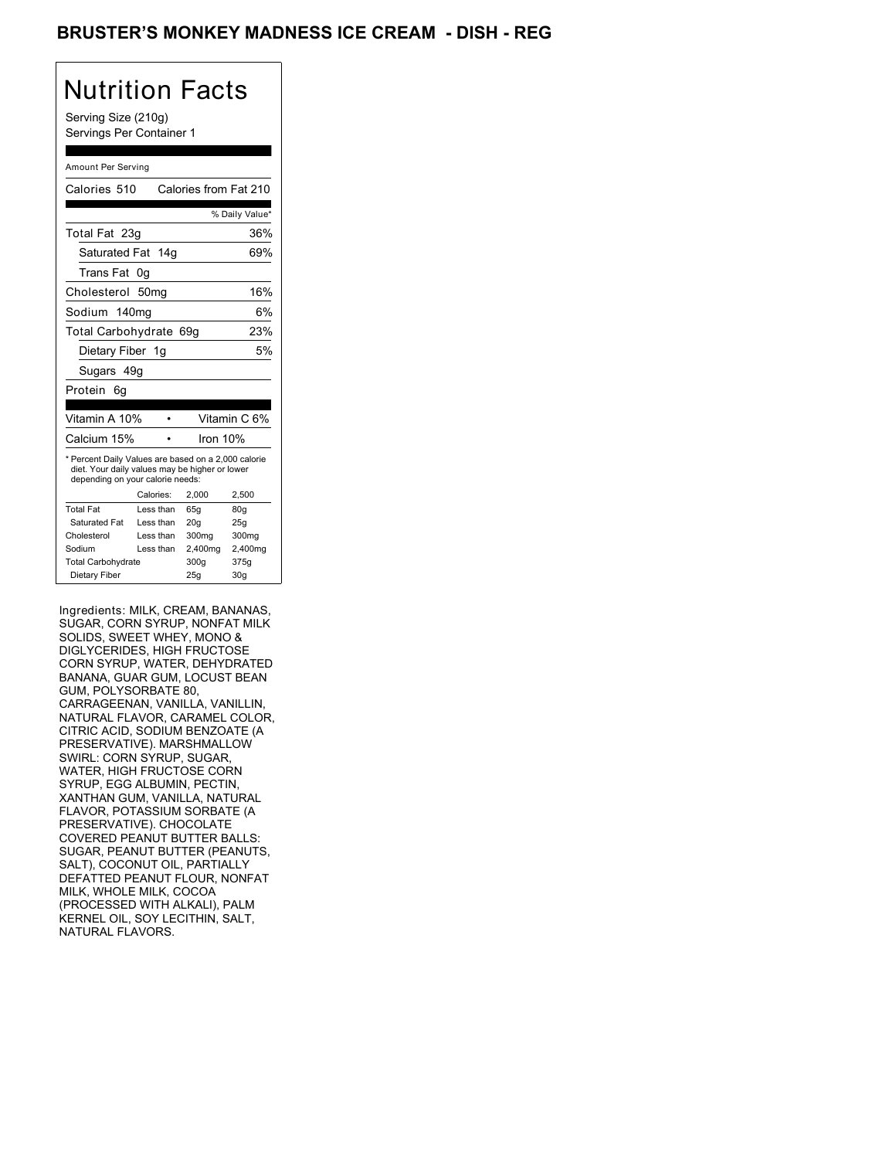## BRUSTER'S MONKEY MADNESS ICE CREAM - DISH - REG

# Nutrition Facts

Serving Size (210g) Servings Per Container 1

#### Amount Per Serving

| Calories 510                                                                                                                              |                  | Calories from Fat 210 |                |
|-------------------------------------------------------------------------------------------------------------------------------------------|------------------|-----------------------|----------------|
|                                                                                                                                           |                  |                       | % Daily Value* |
| Total Fat 23g                                                                                                                             |                  |                       | 36%            |
| Saturated Fat 14g                                                                                                                         |                  |                       | 69%            |
| Trans Fat                                                                                                                                 | 0g               |                       |                |
| Cholesterol                                                                                                                               | 50 <sub>mq</sub> |                       | 16%            |
| Sodium 140ma                                                                                                                              |                  |                       | 6%             |
| Total Carbohydrate 69g                                                                                                                    |                  |                       | 23%            |
| Dietary Fiber 1g                                                                                                                          |                  |                       | 5%             |
| Sugars 49g                                                                                                                                |                  |                       |                |
| Protein<br>6q                                                                                                                             |                  |                       |                |
| Vitamin A 10%                                                                                                                             |                  |                       | Vitamin C 6%   |
| Calcium 15%                                                                                                                               |                  | Iron 10%              |                |
| * Percent Daily Values are based on a 2,000 calorie<br>diet. Your daily values may be higher or lower<br>depending on your calorie needs: |                  |                       |                |
|                                                                                                                                           | Calories:        | 2.000                 | 2.500          |
| <b>Total Fat</b>                                                                                                                          | Less than        | 65q                   | 80q            |
| Saturated Fat                                                                                                                             | Less than        | 20q                   | 25q            |
| Cholesterol                                                                                                                               | Less than        | 300 <sub>mq</sub>     | 300mg          |
| Sodium                                                                                                                                    | Less than        | 2,400mg               | 2,400mg        |
| <b>Total Carbohydrate</b>                                                                                                                 |                  | 300g                  | 375g           |
| Dietary Fiber                                                                                                                             |                  | 25q                   | 30q            |

Ingredients: MILK, CREAM, BANANAS, SUGAR, CORN SYRUP, NONFAT MILK SOLIDS, SWEET WHEY, MONO & DIGLYCERIDES, HIGH FRUCTOSE CORN SYRUP, WATER, DEHYDRATED BANANA, GUAR GUM, LOCUST BEAN GUM, POLYSORBATE 80, CARRAGEENAN, VANILLA, VANILLIN, NATURAL FLAVOR, CARAMEL COLOR, CITRIC ACID, SODIUM BENZOATE (A PRESERVATIVE). MARSHMALLOW SWIRL: CORN SYRUP, SUGAR, WATER, HIGH FRUCTOSE CORN SYRUP, EGG ALBUMIN, PECTIN, XANTHAN GUM, VANILLA, NATURAL FLAVOR, POTASSIUM SORBATE (A PRESERVATIVE). CHOCOLATE COVERED PEANUT BUTTER BALLS: SUGAR, PEANUT BUTTER (PEANUTS, SALT), COCONUT OIL, PARTIALLY DEFATTED PEANUT FLOUR, NONFAT MILK, WHOLE MILK, COCOA (PROCESSED WITH ALKALI), PALM KERNEL OIL, SOY LECITHIN, SALT, NATURAL FLAVORS.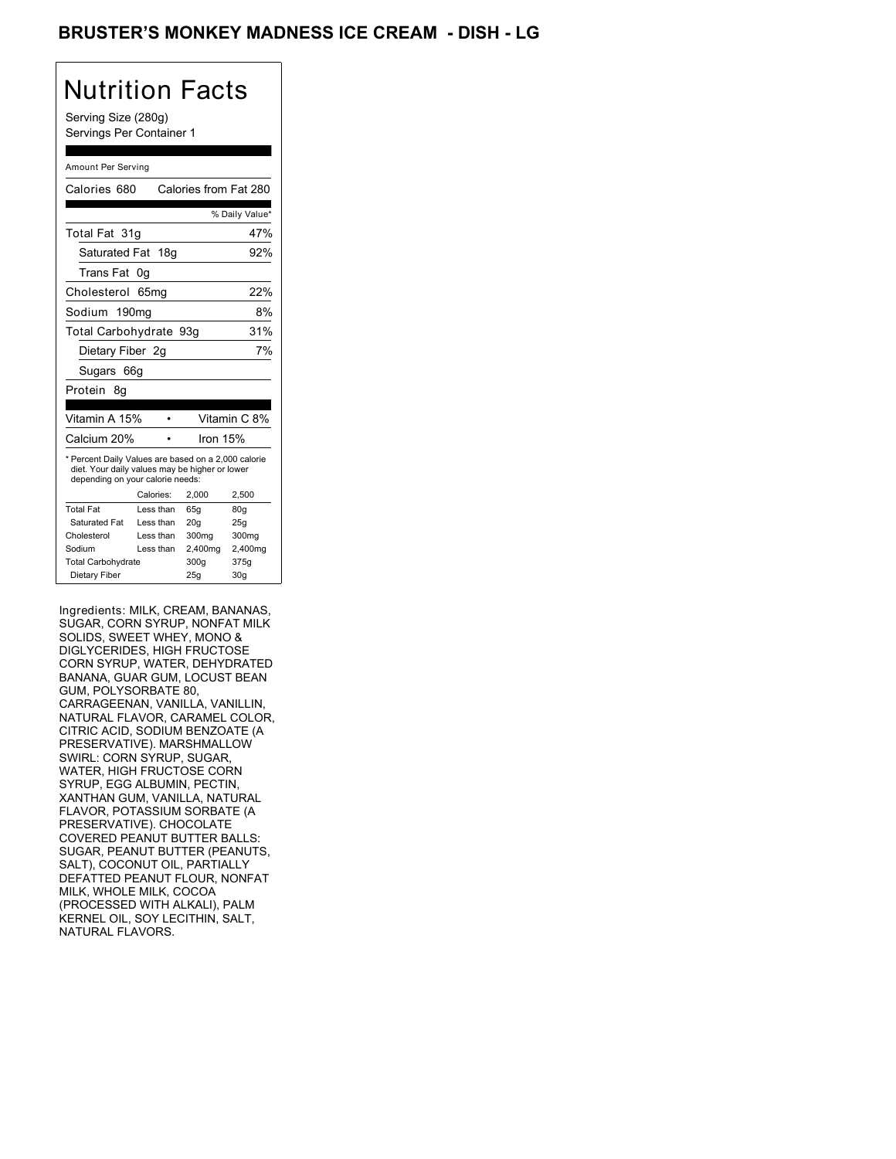## BRUSTER'S MONKEY MADNESS ICE CREAM - DISH - LG

## Nutrition Facts

Serving Size (280g) Servings Per Container 1

#### Amount Per Serving

| Calories 680                                                                                                                              |            | Calories from Fat 280 |                 |
|-------------------------------------------------------------------------------------------------------------------------------------------|------------|-----------------------|-----------------|
|                                                                                                                                           |            |                       | % Daily Value*  |
| Total Fat 31q                                                                                                                             |            |                       | 47%             |
| Saturated Fat 18g                                                                                                                         |            |                       | 92%             |
| Trans Fat                                                                                                                                 | 0g         |                       |                 |
| Cholesterol                                                                                                                               | 65mq       |                       | 22%             |
| Sodium 190mg                                                                                                                              |            |                       | 8%              |
| Total Carbohydrate 93g                                                                                                                    |            |                       | 31%             |
| Dietary Fiber 2g                                                                                                                          |            |                       | 7%              |
| Sugars 66g                                                                                                                                |            |                       |                 |
| Protein<br>8g                                                                                                                             |            |                       |                 |
|                                                                                                                                           |            |                       |                 |
| Vitamin A 15%                                                                                                                             |            |                       | Vitamin C 8%    |
| Calcium 20%                                                                                                                               |            | Iron 15%              |                 |
| * Percent Daily Values are based on a 2,000 calorie<br>diet. Your daily values may be higher or lower<br>depending on your calorie needs: |            |                       |                 |
|                                                                                                                                           | Calories:  | 2.000                 | 2,500           |
| <b>Total Fat</b>                                                                                                                          | Less than  | 65q                   | 80 <sub>g</sub> |
| Saturated Fat                                                                                                                             | Less than  | 20q                   | 25q             |
| Cholesterol                                                                                                                               | I ess than | 300mg                 | 300mg           |
| Sodium                                                                                                                                    | Less than  | 2,400mg               | 2,400mg         |
| <b>Total Carbohydrate</b>                                                                                                                 |            | 300g                  | 375g            |

Ingredients: MILK, CREAM, BANANAS, SUGAR, CORN SYRUP, NONFAT MILK SOLIDS, SWEET WHEY, MONO & DIGLYCERIDES, HIGH FRUCTOSE CORN SYRUP, WATER, DEHYDRATED BANANA, GUAR GUM, LOCUST BEAN GUM, POLYSORBATE 80, CARRAGEENAN, VANILLA, VANILLIN, NATURAL FLAVOR, CARAMEL COLOR, CITRIC ACID, SODIUM BENZOATE (A PRESERVATIVE). MARSHMALLOW SWIRL: CORN SYRUP, SUGAR, WATER, HIGH FRUCTOSE CORN SYRUP, EGG ALBUMIN, PECTIN, XANTHAN GUM, VANILLA, NATURAL FLAVOR, POTASSIUM SORBATE (A PRESERVATIVE). CHOCOLATE COVERED PEANUT BUTTER BALLS: SUGAR, PEANUT BUTTER (PEANUTS, SALT), COCONUT OIL, PARTIALLY DEFATTED PEANUT FLOUR, NONFAT MILK, WHOLE MILK, COCOA (PROCESSED WITH ALKALI), PALM KERNEL OIL, SOY LECITHIN, SALT, NATURAL FLAVORS.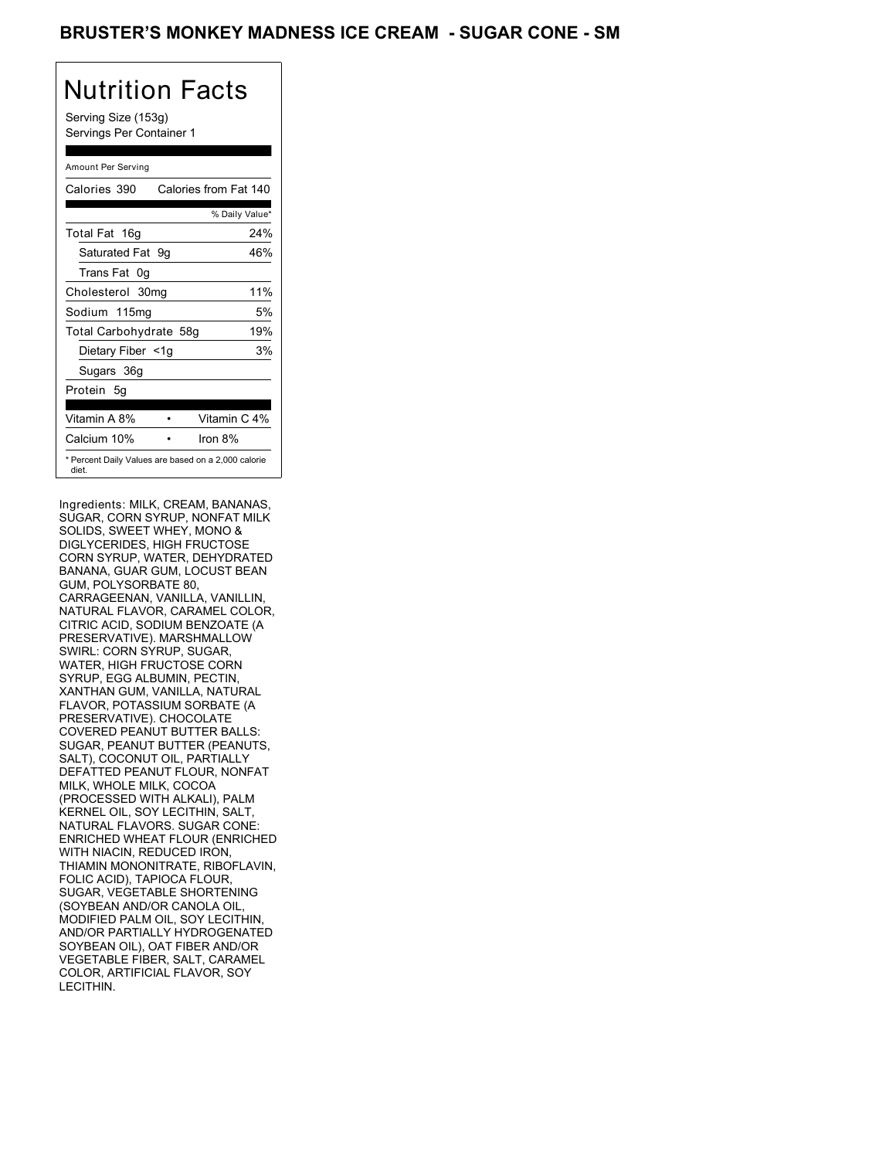### BRUSTER'S MONKEY MADNESS ICE CREAM - SUGAR CONE - SM

# Nutrition Facts

Serving Size (153g) Servings Per Container 1

### Amount Per Serving

| Calories 390           | Calories from Fat 140                               |
|------------------------|-----------------------------------------------------|
|                        | % Daily Value*                                      |
| Total Fat 16g          | 24%                                                 |
| Saturated Fat 9g       | 46%                                                 |
| Trans Fat 0q           |                                                     |
| Cholesterol 30mg       | 11%                                                 |
| Sodium 115mg           | 5%                                                  |
| Total Carbohydrate 58g | 19%                                                 |
| Dietary Fiber <1g      | 3%                                                  |
| Sugars 36g             |                                                     |
| Protein 5q             |                                                     |
| Vitamin A 8%           | Vitamin C 4%                                        |
| Calcium 10%            | Iron 8%                                             |
| diet.                  | * Percent Daily Values are based on a 2,000 calorie |

Ingredients: MILK, CREAM, BANANAS, SUGAR, CORN SYRUP, NONFAT MILK SOLIDS, SWEET WHEY, MONO & DIGLYCERIDES, HIGH FRUCTOSE CORN SYRUP, WATER, DEHYDRATED BANANA, GUAR GUM, LOCUST BEAN GUM, POLYSORBATE 80, CARRAGEENAN, VANILLA, VANILLIN, NATURAL FLAVOR, CARAMEL COLOR, CITRIC ACID, SODIUM BENZOATE (A PRESERVATIVE). MARSHMALLOW SWIRL: CORN SYRUP, SUGAR, WATER, HIGH FRUCTOSE CORN SYRUP, EGG ALBUMIN, PECTIN, XANTHAN GUM, VANILLA, NATURAL FLAVOR, POTASSIUM SORBATE (A PRESERVATIVE). CHOCOLATE COVERED PEANUT BUTTER BALLS: SUGAR, PEANUT BUTTER (PEANUTS, SALT), COCONUT OIL, PARTIALLY DEFATTED PEANUT FLOUR, NONFAT MILK, WHOLE MILK, COCOA (PROCESSED WITH ALKALI), PALM KERNEL OIL, SOY LECITHIN, SALT, NATURAL FLAVORS. SUGAR CONE: ENRICHED WHEAT FLOUR (ENRICHED WITH NIACIN, REDUCED IRON, THIAMIN MONONITRATE, RIBOFLAVIN, FOLIC ACID), TAPIOCA FLOUR, SUGAR, VEGETABLE SHORTENING (SOYBEAN AND/OR CANOLA OIL, MODIFIED PALM OIL, SOY LECITHIN, AND/OR PARTIALLY HYDROGENATED SOYBEAN OIL), OAT FIBER AND/OR VEGETABLE FIBER, SALT, CARAMEL COLOR, ARTIFICIAL FLAVOR, SOY LECITHIN.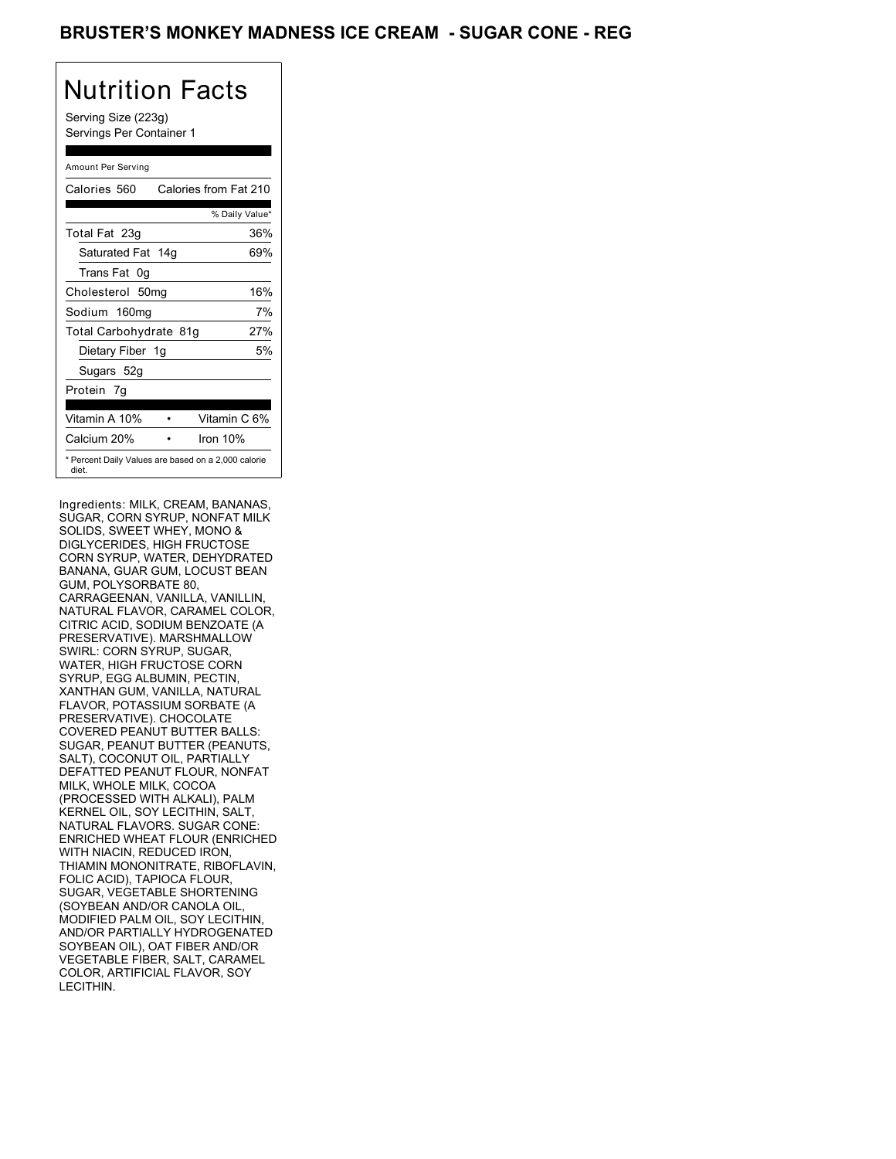### BRUSTER'S MONKEY MADNESS ICE CREAM - SUGAR CONE - REG

# Nutrition Facts

Serving Size (223g) Servings Per Container 1

### Amount Per Serving

| Calories 560                                                 | Calories from Fat 210 |     |
|--------------------------------------------------------------|-----------------------|-----|
|                                                              | % Daily Value*        |     |
| Total Fat 23g                                                |                       | 36% |
| Saturated Fat 14g                                            |                       | 69% |
| Trans Fat 0g                                                 |                       |     |
| Cholesterol 50mg                                             |                       | 16% |
| Sodium 160mg                                                 |                       | 7%  |
| Total Carbohydrate 81g                                       |                       | 27% |
| Dietary Fiber 1g                                             |                       | 5%  |
| Sugars 52g                                                   |                       |     |
| Protein 7q                                                   |                       |     |
| Vitamin A 10%                                                | Vitamin C 6%          |     |
| Calcium 20%                                                  | Iron $10%$            |     |
| * Percent Daily Values are based on a 2,000 calorie<br>diet. |                       |     |

Ingredients: MILK, CREAM, BANANAS, SUGAR, CORN SYRUP, NONFAT MILK SOLIDS, SWEET WHEY, MONO & DIGLYCERIDES, HIGH FRUCTOSE CORN SYRUP, WATER, DEHYDRATED BANANA, GUAR GUM, LOCUST BEAN GUM, POLYSORBATE 80, CARRAGEENAN, VANILLA, VANILLIN, NATURAL FLAVOR, CARAMEL COLOR, CITRIC ACID, SODIUM BENZOATE (A PRESERVATIVE). MARSHMALLOW SWIRL: CORN SYRUP, SUGAR, WATER, HIGH FRUCTOSE CORN SYRUP, EGG ALBUMIN, PECTIN, XANTHAN GUM, VANILLA, NATURAL FLAVOR, POTASSIUM SORBATE (A PRESERVATIVE). CHOCOLATE COVERED PEANUT BUTTER BALLS: SUGAR, PEANUT BUTTER (PEANUTS, SALT), COCONUT OIL, PARTIALLY DEFATTED PEANUT FLOUR, NONFAT MILK, WHOLE MILK, COCOA (PROCESSED WITH ALKALI), PALM KERNEL OIL, SOY LECITHIN, SALT, NATURAL FLAVORS. SUGAR CONE: ENRICHED WHEAT FLOUR (ENRICHED WITH NIACIN, REDUCED IRON, THIAMIN MONONITRATE, RIBOFLAVIN, FOLIC ACID), TAPIOCA FLOUR, SUGAR, VEGETABLE SHORTENING (SOYBEAN AND/OR CANOLA OIL, MODIFIED PALM OIL, SOY LECITHIN, AND/OR PARTIALLY HYDROGENATED SOYBEAN OIL), OAT FIBER AND/OR VEGETABLE FIBER, SALT, CARAMEL COLOR, ARTIFICIAL FLAVOR, SOY LECITHIN.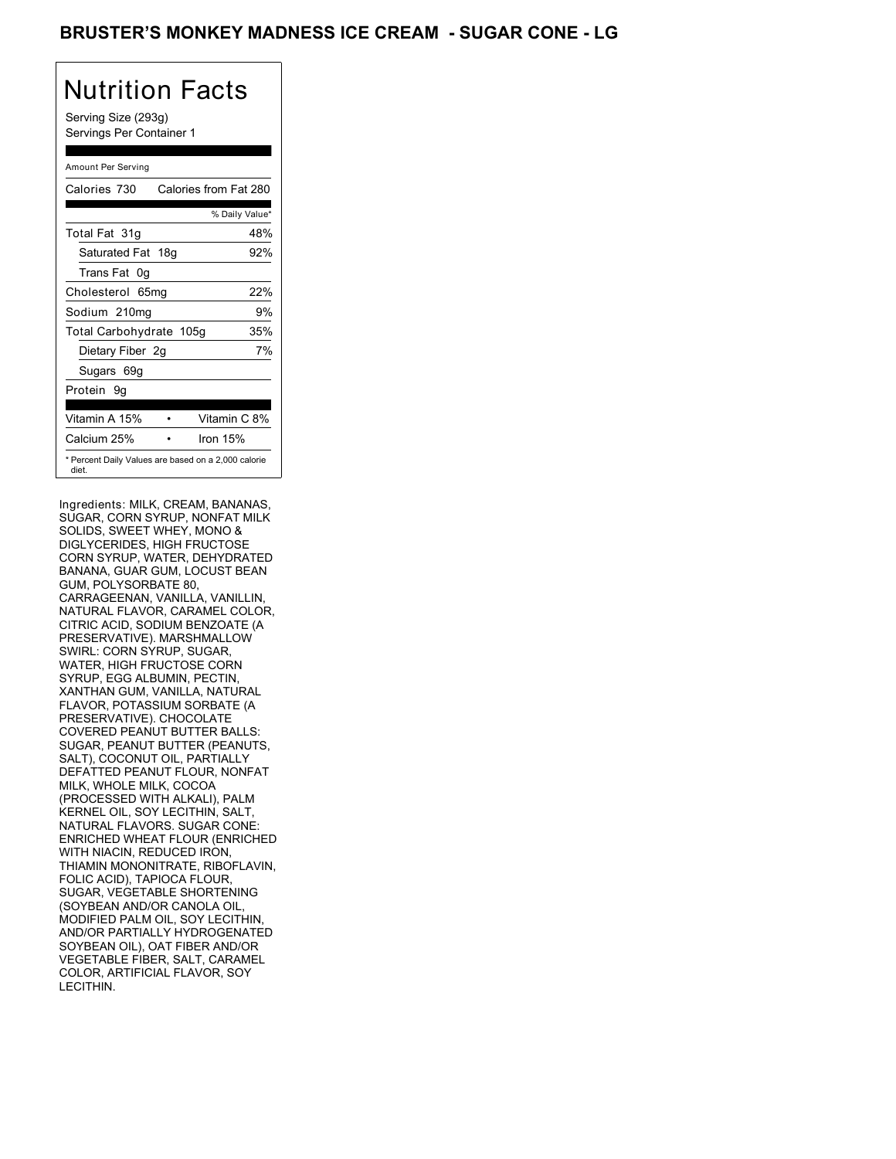## BRUSTER'S MONKEY MADNESS ICE CREAM - SUGAR CONE - LG

# Nutrition Facts

Serving Size (293g) Servings Per Container 1

### Amount Per Serving

| Calories 730                                                 | Calories from Fat 280 |                |
|--------------------------------------------------------------|-----------------------|----------------|
|                                                              |                       | % Daily Value* |
| Total Fat 31g                                                |                       | 48%            |
| Saturated Fat 18g                                            |                       | 92%            |
| Trans Fat 0g                                                 |                       |                |
| Cholesterol 65mg                                             |                       | 22%            |
| Sodium 210mg                                                 |                       | 9%             |
| Total Carbohydrate 105g                                      |                       | 35%            |
| Dietary Fiber 2g                                             |                       | 7%             |
| Sugars 69g                                                   |                       |                |
| Protein 9q                                                   |                       |                |
| Vitamin A 15%                                                |                       | Vitamin C 8%   |
| Calcium 25%                                                  | Iron $15%$            |                |
| * Percent Daily Values are based on a 2,000 calorie<br>diet. |                       |                |

Ingredients: MILK, CREAM, BANANAS, SUGAR, CORN SYRUP, NONFAT MILK SOLIDS, SWEET WHEY, MONO & DIGLYCERIDES, HIGH FRUCTOSE CORN SYRUP, WATER, DEHYDRATED BANANA, GUAR GUM, LOCUST BEAN GUM, POLYSORBATE 80, CARRAGEENAN, VANILLA, VANILLIN, NATURAL FLAVOR, CARAMEL COLOR, CITRIC ACID, SODIUM BENZOATE (A PRESERVATIVE). MARSHMALLOW SWIRL: CORN SYRUP, SUGAR, WATER, HIGH FRUCTOSE CORN SYRUP, EGG ALBUMIN, PECTIN, XANTHAN GUM, VANILLA, NATURAL FLAVOR, POTASSIUM SORBATE (A PRESERVATIVE). CHOCOLATE COVERED PEANUT BUTTER BALLS: SUGAR, PEANUT BUTTER (PEANUTS, SALT), COCONUT OIL, PARTIALLY DEFATTED PEANUT FLOUR, NONFAT MILK, WHOLE MILK, COCOA (PROCESSED WITH ALKALI), PALM KERNEL OIL, SOY LECITHIN, SALT, NATURAL FLAVORS. SUGAR CONE: ENRICHED WHEAT FLOUR (ENRICHED WITH NIACIN, REDUCED IRON, THIAMIN MONONITRATE, RIBOFLAVIN, FOLIC ACID), TAPIOCA FLOUR, SUGAR, VEGETABLE SHORTENING (SOYBEAN AND/OR CANOLA OIL, MODIFIED PALM OIL, SOY LECITHIN, AND/OR PARTIALLY HYDROGENATED SOYBEAN OIL), OAT FIBER AND/OR VEGETABLE FIBER, SALT, CARAMEL COLOR, ARTIFICIAL FLAVOR, SOY LECITHIN.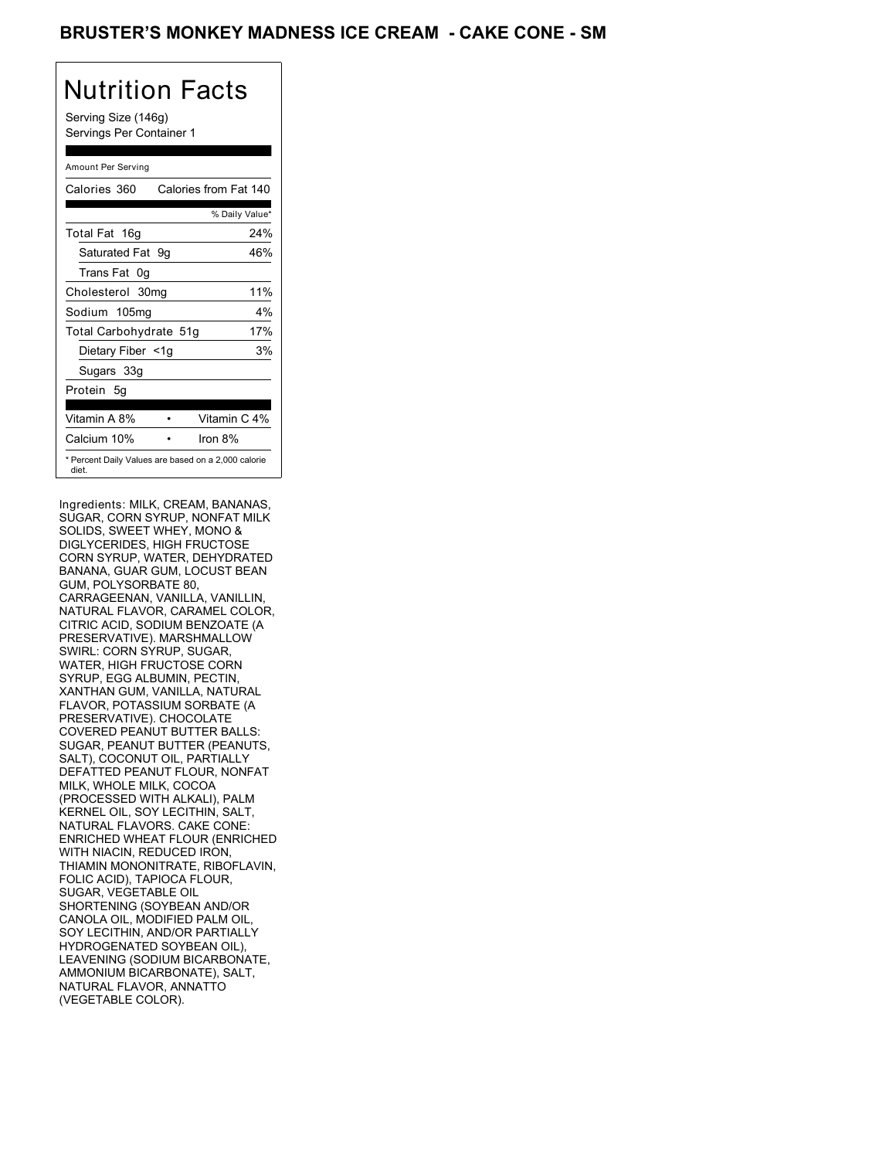### BRUSTER'S MONKEY MADNESS ICE CREAM - CAKE CONE - SM

## Nutrition Facts

Serving Size (146g) Servings Per Container 1

### Amount Per Serving

| Calories 360           | Calories from Fat 140                               |
|------------------------|-----------------------------------------------------|
|                        | % Daily Value*                                      |
| Total Fat 16g          | 24%                                                 |
| Saturated Fat 9g       | 46%                                                 |
| Trans Fat 0q           |                                                     |
| Cholesterol 30mg       | 11%                                                 |
| Sodium 105mg           | 4%                                                  |
| Total Carbohydrate 51g | 17%                                                 |
| Dietary Fiber <1g      | 3%                                                  |
| Sugars 33g             |                                                     |
| Protein 5q             |                                                     |
| Vitamin A 8%           | Vitamin C 4%                                        |
| Calcium 10%            | Iron 8%                                             |
| diet.                  | * Percent Daily Values are based on a 2,000 calorie |

Ingredients: MILK, CREAM, BANANAS, SUGAR, CORN SYRUP, NONFAT MILK SOLIDS, SWEET WHEY, MONO & DIGLYCERIDES, HIGH FRUCTOSE CORN SYRUP, WATER, DEHYDRATED BANANA, GUAR GUM, LOCUST BEAN GUM, POLYSORBATE 80, CARRAGEENAN, VANILLA, VANILLIN, NATURAL FLAVOR, CARAMEL COLOR, CITRIC ACID, SODIUM BENZOATE (A PRESERVATIVE). MARSHMALLOW SWIRL: CORN SYRUP, SUGAR, WATER, HIGH FRUCTOSE CORN SYRUP, EGG ALBUMIN, PECTIN, XANTHAN GUM, VANILLA, NATURAL FLAVOR, POTASSIUM SORBATE (A PRESERVATIVE). CHOCOLATE COVERED PEANUT BUTTER BALLS: SUGAR, PEANUT BUTTER (PEANUTS, SALT), COCONUT OIL, PARTIALLY DEFATTED PEANUT FLOUR, NONFAT MILK, WHOLE MILK, COCOA (PROCESSED WITH ALKALI), PALM KERNEL OIL, SOY LECITHIN, SALT, NATURAL FLAVORS. CAKE CONE: ENRICHED WHEAT FLOUR (ENRICHED WITH NIACIN, REDUCED IRON, THIAMIN MONONITRATE, RIBOFLAVIN, FOLIC ACID), TAPIOCA FLOUR, SUGAR, VEGETABLE OIL SHORTENING (SOYBEAN AND/OR CANOLA OIL, MODIFIED PALM OIL, SOY LECITHIN, AND/OR PARTIALLY HYDROGENATED SOYBEAN OIL), LEAVENING (SODIUM BICARBONATE, AMMONIUM BICARBONATE), SALT, NATURAL FLAVOR, ANNATTO (VEGETABLE COLOR).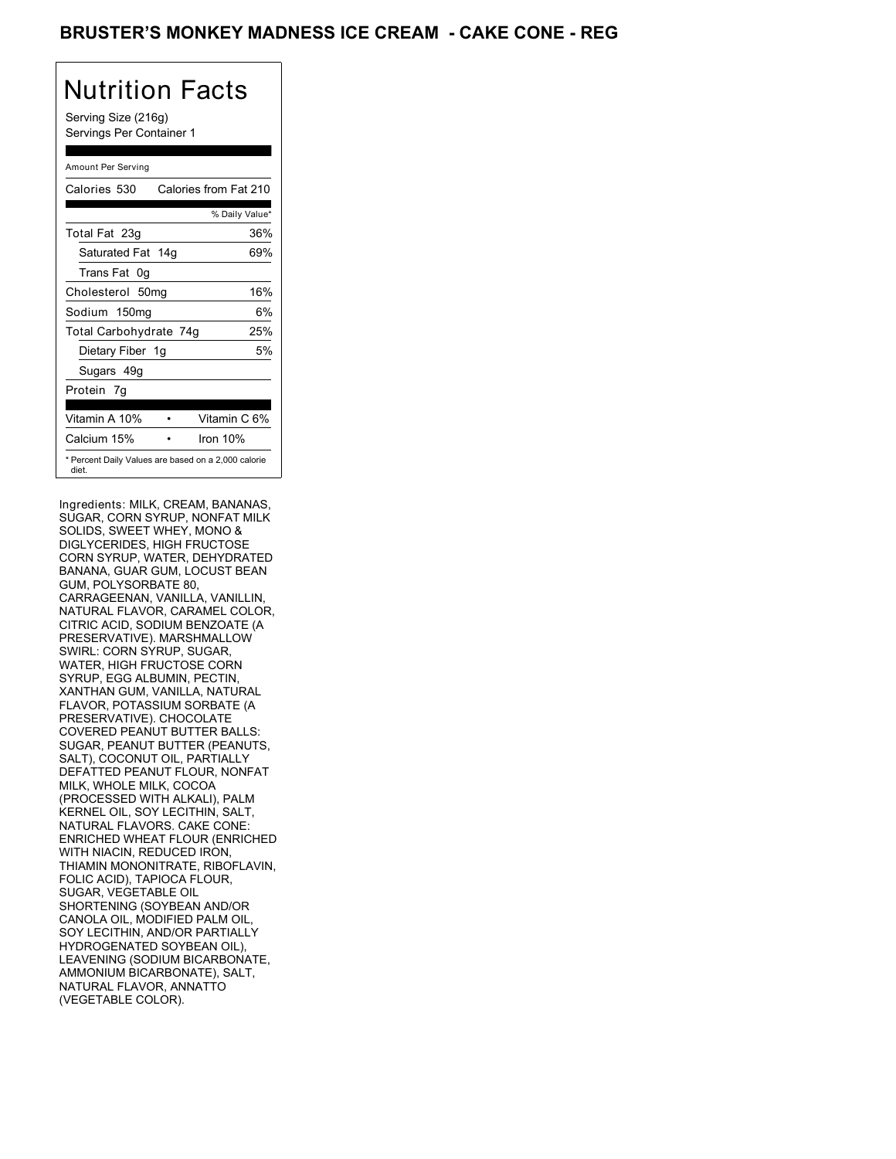### BRUSTER'S MONKEY MADNESS ICE CREAM **- CAKE CONE - REG**

# Nutrition Facts

Serving Size (216g) Servings Per Container 1

#### Amount Per Serving

| Calories 530           | Calories from Fat 210                               |
|------------------------|-----------------------------------------------------|
|                        | % Daily Value*                                      |
| Total Fat 23g          | 36%                                                 |
| Saturated Fat 14g      | 69%                                                 |
| Trans Fat 0g           |                                                     |
| Cholesterol 50mg       | 16%                                                 |
| Sodium 150mg           | 6%                                                  |
| Total Carbohydrate 74g | 25%                                                 |
| Dietary Fiber 1g       | 5%                                                  |
| Sugars 49g             |                                                     |
| Protein 7q             |                                                     |
| Vitamin A 10%          | Vitamin C 6%                                        |
| Calcium 15%            | Iron $10%$                                          |
| diet.                  | * Percent Daily Values are based on a 2,000 calorie |

Ingredients: MILK, CREAM, BANANAS, SUGAR, CORN SYRUP, NONFAT MILK SOLIDS, SWEET WHEY, MONO & DIGLYCERIDES, HIGH FRUCTOSE CORN SYRUP, WATER, DEHYDRATED BANANA, GUAR GUM, LOCUST BEAN GUM, POLYSORBATE 80, CARRAGEENAN, VANILLA, VANILLIN, NATURAL FLAVOR, CARAMEL COLOR, CITRIC ACID, SODIUM BENZOATE (A PRESERVATIVE). MARSHMALLOW SWIRL: CORN SYRUP, SUGAR, WATER, HIGH FRUCTOSE CORN SYRUP, EGG ALBUMIN, PECTIN, XANTHAN GUM, VANILLA, NATURAL FLAVOR, POTASSIUM SORBATE (A PRESERVATIVE). CHOCOLATE COVERED PEANUT BUTTER BALLS: SUGAR, PEANUT BUTTER (PEANUTS, SALT), COCONUT OIL, PARTIALLY DEFATTED PEANUT FLOUR, NONFAT MILK, WHOLE MILK, COCOA (PROCESSED WITH ALKALI), PALM KERNEL OIL, SOY LECITHIN, SALT, NATURAL FLAVORS. CAKE CONE: ENRICHED WHEAT FLOUR (ENRICHED WITH NIACIN, REDUCED IRON, THIAMIN MONONITRATE, RIBOFLAVIN, FOLIC ACID), TAPIOCA FLOUR, SUGAR, VEGETABLE OIL SHORTENING (SOYBEAN AND/OR CANOLA OIL, MODIFIED PALM OIL, SOY LECITHIN, AND/OR PARTIALLY HYDROGENATED SOYBEAN OIL), LEAVENING (SODIUM BICARBONATE, AMMONIUM BICARBONATE), SALT, NATURAL FLAVOR, ANNATTO (VEGETABLE COLOR).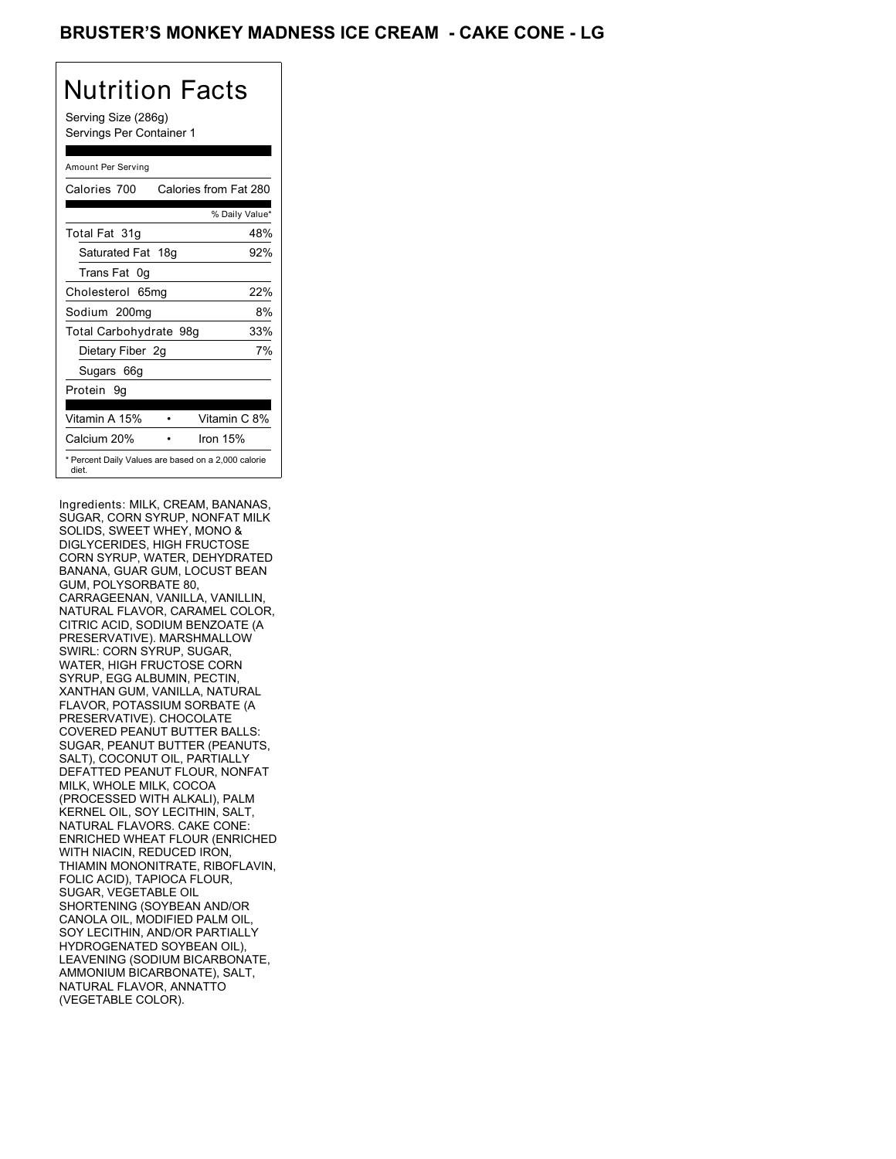## BRUSTER'S MONKEY MADNESS ICE CREAM **- CAKE CONE - LG**

## Nutrition Facts

Serving Size (286g) Servings Per Container 1

### Amount Per Serving

| Calories 700           | Calories from Fat 280                               |
|------------------------|-----------------------------------------------------|
|                        | % Daily Value*                                      |
| Total Fat 31g          | 48%                                                 |
| Saturated Fat 18g      | 92%                                                 |
| Trans Fat 0q           |                                                     |
| Cholesterol 65mg       | 22%                                                 |
| Sodium 200mg           | 8%                                                  |
| Total Carbohydrate 98g | 33%                                                 |
| Dietary Fiber 2g       | 7%                                                  |
| Sugars 66g             |                                                     |
| Protein 9q             |                                                     |
|                        |                                                     |
| Vitamin A 15%          | Vitamin C 8%                                        |
| Calcium 20%            | Iron $15%$                                          |
| diet.                  | * Percent Daily Values are based on a 2,000 calorie |

Ingredients: MILK, CREAM, BANANAS, SUGAR, CORN SYRUP, NONFAT MILK SOLIDS, SWEET WHEY, MONO & DIGLYCERIDES, HIGH FRUCTOSE CORN SYRUP, WATER, DEHYDRATED BANANA, GUAR GUM, LOCUST BEAN GUM, POLYSORBATE 80, CARRAGEENAN, VANILLA, VANILLIN, NATURAL FLAVOR, CARAMEL COLOR, CITRIC ACID, SODIUM BENZOATE (A PRESERVATIVE). MARSHMALLOW SWIRL: CORN SYRUP, SUGAR, WATER, HIGH FRUCTOSE CORN SYRUP, EGG ALBUMIN, PECTIN, XANTHAN GUM, VANILLA, NATURAL FLAVOR, POTASSIUM SORBATE (A PRESERVATIVE). CHOCOLATE COVERED PEANUT BUTTER BALLS: SUGAR, PEANUT BUTTER (PEANUTS, SALT), COCONUT OIL, PARTIALLY DEFATTED PEANUT FLOUR, NONFAT MILK, WHOLE MILK, COCOA (PROCESSED WITH ALKALI), PALM KERNEL OIL, SOY LECITHIN, SALT, NATURAL FLAVORS. CAKE CONE: ENRICHED WHEAT FLOUR (ENRICHED WITH NIACIN, REDUCED IRON, THIAMIN MONONITRATE, RIBOFLAVIN, FOLIC ACID), TAPIOCA FLOUR, SUGAR, VEGETABLE OIL SHORTENING (SOYBEAN AND/OR CANOLA OIL, MODIFIED PALM OIL, SOY LECITHIN, AND/OR PARTIALLY HYDROGENATED SOYBEAN OIL), LEAVENING (SODIUM BICARBONATE, AMMONIUM BICARBONATE), SALT, NATURAL FLAVOR, ANNATTO (VEGETABLE COLOR).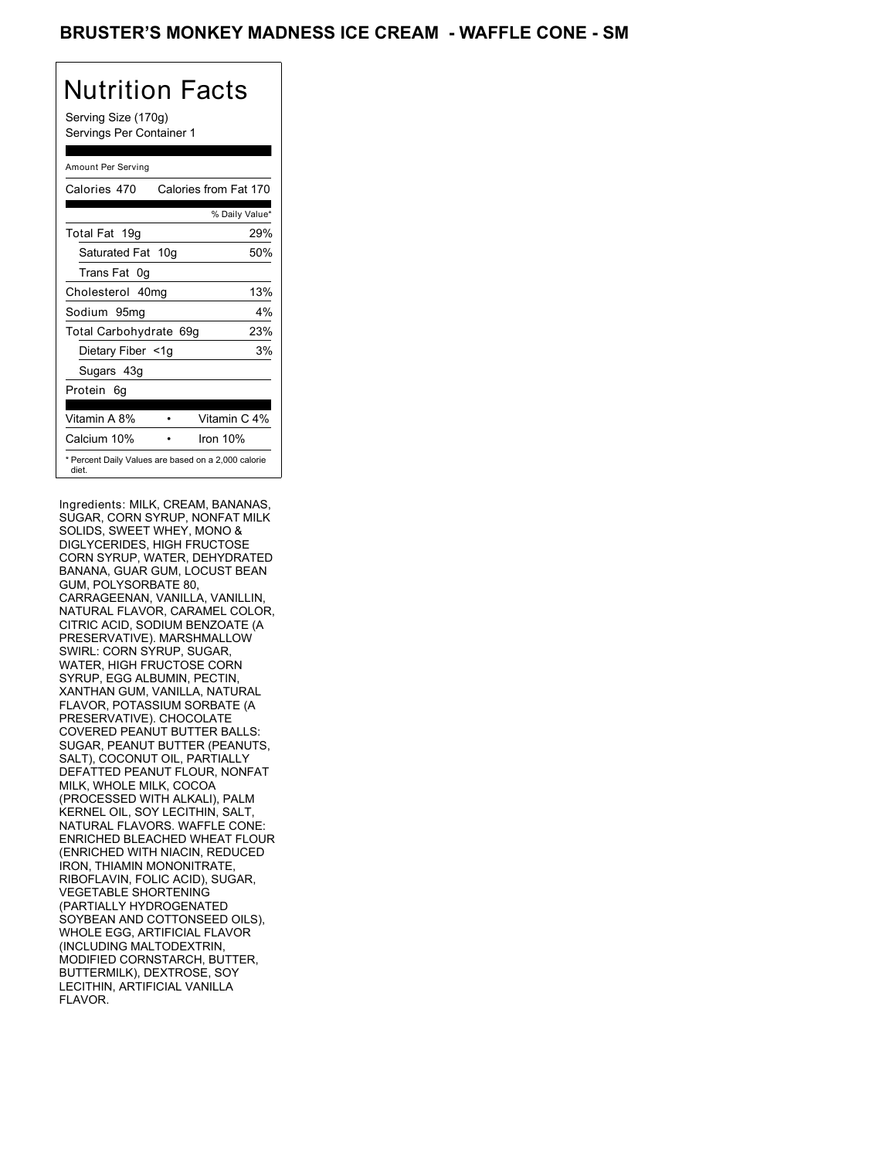### BRUSTER'S MONKEY MADNESS ICE CREAM - WAFFLE CONE - SM

## Nutrition Facts

Serving Size (170g) Servings Per Container 1

### Amount Per Serving

| Calories 470                                                 |  | Calories from Fat 170 |
|--------------------------------------------------------------|--|-----------------------|
|                                                              |  | % Daily Value*        |
| Total Fat 19g                                                |  | 29%                   |
| Saturated Fat 10g                                            |  | 50%                   |
| Trans Fat 0g                                                 |  |                       |
| Cholesterol 40mg                                             |  | 13%                   |
| Sodium 95mg                                                  |  | 4%                    |
| Total Carbohydrate 69g                                       |  | 23%                   |
| Dietary Fiber <1g                                            |  | 3%                    |
| Sugars 43g                                                   |  |                       |
| Protein 6q                                                   |  |                       |
| Vitamin A 8%                                                 |  | Vitamin C 4%          |
| Calcium 10%                                                  |  | Iron $10%$            |
| * Percent Daily Values are based on a 2,000 calorie<br>diet. |  |                       |

Ingredients: MILK, CREAM, BANANAS, SUGAR, CORN SYRUP, NONFAT MILK SOLIDS, SWEET WHEY, MONO & DIGLYCERIDES, HIGH FRUCTOSE CORN SYRUP, WATER, DEHYDRATED BANANA, GUAR GUM, LOCUST BEAN GUM, POLYSORBATE 80, CARRAGEENAN, VANILLA, VANILLIN, NATURAL FLAVOR, CARAMEL COLOR, CITRIC ACID, SODIUM BENZOATE (A PRESERVATIVE). MARSHMALLOW SWIRL: CORN SYRUP, SUGAR, WATER, HIGH FRUCTOSE CORN SYRUP, EGG ALBUMIN, PECTIN, XANTHAN GUM, VANILLA, NATURAL FLAVOR, POTASSIUM SORBATE (A PRESERVATIVE). CHOCOLATE COVERED PEANUT BUTTER BALLS: SUGAR, PEANUT BUTTER (PEANUTS, SALT), COCONUT OIL, PARTIALLY DEFATTED PEANUT FLOUR, NONFAT MILK, WHOLE MILK, COCOA (PROCESSED WITH ALKALI), PALM KERNEL OIL, SOY LECITHIN, SALT, NATURAL FLAVORS. WAFFLE CONE: ENRICHED BLEACHED WHEAT FLOUR (ENRICHED WITH NIACIN, REDUCED IRON, THIAMIN MONONITRATE, RIBOFLAVIN, FOLIC ACID), SUGAR, VEGETABLE SHORTENING (PARTIALLY HYDROGENATED SOYBEAN AND COTTONSEED OILS), WHOLE EGG, ARTIFICIAL FLAVOR (INCLUDING MALTODEXTRIN, MODIFIED CORNSTARCH, BUTTER, BUTTERMILK), DEXTROSE, SOY LECITHIN, ARTIFICIAL VANILLA FLAVOR.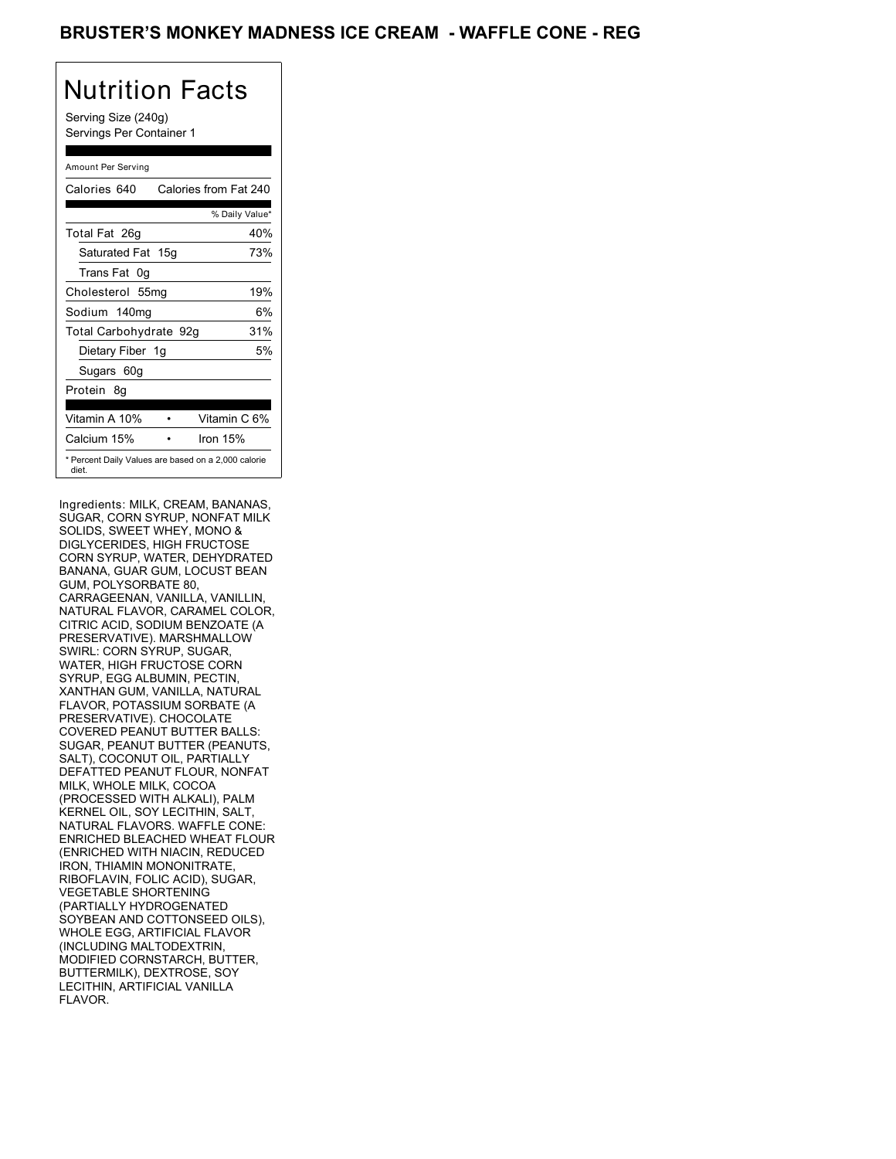### BRUSTER'S MONKEY MADNESS ICE CREAM - WAFFLE CONE - REG

## Nutrition Facts

Serving Size (240g) Servings Per Container 1

### Amount Per Serving

| Calories 640           | Calories from Fat 240                               |
|------------------------|-----------------------------------------------------|
|                        | % Daily Value*                                      |
| Total Fat 26g          | 40%                                                 |
| Saturated Fat 15g      | 73%                                                 |
| Trans Fat 0q           |                                                     |
| Cholesterol 55mg       | 19%                                                 |
| Sodium 140mg           | 6%                                                  |
| Total Carbohydrate 92g | 31%                                                 |
| Dietary Fiber 1g       | 5%                                                  |
| Sugars 60g             |                                                     |
| Protein 8q             |                                                     |
| Vitamin A 10%          | Vitamin C 6%                                        |
| Calcium 15%            | Iron $15%$                                          |
| diet.                  | * Percent Daily Values are based on a 2,000 calorie |

Ingredients: MILK, CREAM, BANANAS, SUGAR, CORN SYRUP, NONFAT MILK SOLIDS, SWEET WHEY, MONO & DIGLYCERIDES, HIGH FRUCTOSE CORN SYRUP, WATER, DEHYDRATED BANANA, GUAR GUM, LOCUST BEAN GUM, POLYSORBATE 80, CARRAGEENAN, VANILLA, VANILLIN, NATURAL FLAVOR, CARAMEL COLOR, CITRIC ACID, SODIUM BENZOATE (A PRESERVATIVE). MARSHMALLOW SWIRL: CORN SYRUP, SUGAR, WATER, HIGH FRUCTOSE CORN SYRUP, EGG ALBUMIN, PECTIN, XANTHAN GUM, VANILLA, NATURAL FLAVOR, POTASSIUM SORBATE (A PRESERVATIVE). CHOCOLATE COVERED PEANUT BUTTER BALLS: SUGAR, PEANUT BUTTER (PEANUTS, SALT), COCONUT OIL, PARTIALLY DEFATTED PEANUT FLOUR, NONFAT MILK, WHOLE MILK, COCOA (PROCESSED WITH ALKALI), PALM KERNEL OIL, SOY LECITHIN, SALT, NATURAL FLAVORS. WAFFLE CONE: ENRICHED BLEACHED WHEAT FLOUR (ENRICHED WITH NIACIN, REDUCED IRON, THIAMIN MONONITRATE, RIBOFLAVIN, FOLIC ACID), SUGAR, VEGETABLE SHORTENING (PARTIALLY HYDROGENATED SOYBEAN AND COTTONSEED OILS), WHOLE EGG, ARTIFICIAL FLAVOR (INCLUDING MALTODEXTRIN, MODIFIED CORNSTARCH, BUTTER, BUTTERMILK), DEXTROSE, SOY LECITHIN, ARTIFICIAL VANILLA FLAVOR.